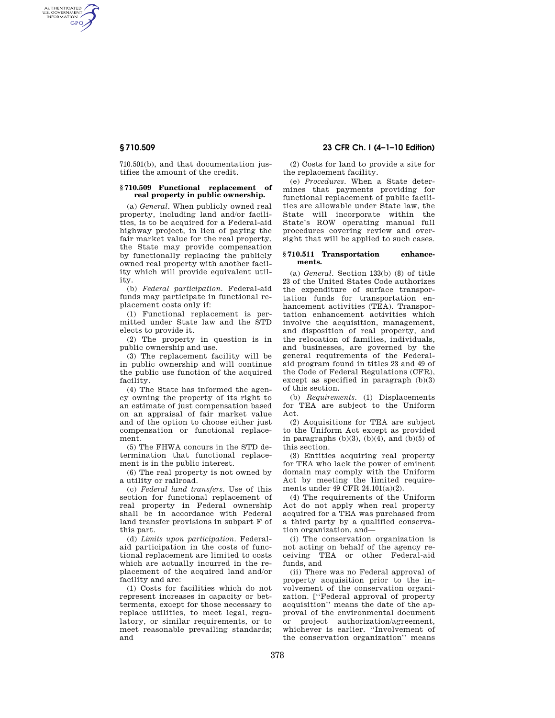AUTHENTICATED<br>U.S. GOVERNMENT<br>INFORMATION **GPO** 

> 710.501(b), and that documentation justifies the amount of the credit.

#### **§ 710.509 Functional replacement of real property in public ownership.**

(a) *General.* When publicly owned real property, including land and/or facilities, is to be acquired for a Federal-aid highway project, in lieu of paying the fair market value for the real property, the State may provide compensation by functionally replacing the publicly owned real property with another facility which will provide equivalent utility.

(b) *Federal participation.* Federal-aid funds may participate in functional replacement costs only if:

(1) Functional replacement is permitted under State law and the STD elects to provide it.

(2) The property in question is in public ownership and use.

(3) The replacement facility will be in public ownership and will continue the public use function of the acquired facility.

(4) The State has informed the agency owning the property of its right to an estimate of just compensation based on an appraisal of fair market value and of the option to choose either just compensation or functional replacement.

(5) The FHWA concurs in the STD determination that functional replacement is in the public interest.

(6) The real property is not owned by a utility or railroad.

(c) *Federal land transfers.* Use of this section for functional replacement of real property in Federal ownership shall be in accordance with Federal land transfer provisions in subpart F of this part.

(d) *Limits upon participation.* Federalaid participation in the costs of functional replacement are limited to costs which are actually incurred in the replacement of the acquired land and/or facility and are:

(1) Costs for facilities which do not represent increases in capacity or betterments, except for those necessary to replace utilities, to meet legal, regulatory, or similar requirements, or to meet reasonable prevailing standards; and

# **§ 710.509 23 CFR Ch. I (4–1–10 Edition)**

(2) Costs for land to provide a site for the replacement facility.

(e) *Procedures.* When a State determines that payments providing for functional replacement of public facilities are allowable under State law, the State will incorporate within the State's ROW operating manual full procedures covering review and oversight that will be applied to such cases.

#### **§ 710.511 Transportation enhancements.**

(a) *General.* Section 133(b) (8) of title 23 of the United States Code authorizes the expenditure of surface transportation funds for transportation enhancement activities (TEA). Transportation enhancement activities which involve the acquisition, management, and disposition of real property, and the relocation of families, individuals, and businesses, are governed by the general requirements of the Federalaid program found in titles 23 and 49 of the Code of Federal Regulations (CFR), except as specified in paragraph (b)(3) of this section.

(b) *Requirements.* (1) Displacements for TEA are subject to the Uniform Act.

(2) Acquisitions for TEA are subject to the Uniform Act except as provided in paragraphs  $(b)(3)$ ,  $(b)(4)$ , and  $(b)(5)$  of this section.

(3) Entities acquiring real property for TEA who lack the power of eminent domain may comply with the Uniform Act by meeting the limited requirements under 49 CFR 24.101(a)(2).

(4) The requirements of the Uniform Act do not apply when real property acquired for a TEA was purchased from a third party by a qualified conservation organization, and—

(i) The conservation organization is not acting on behalf of the agency receiving TEA or other Federal-aid funds, and

(ii) There was no Federal approval of property acquisition prior to the involvement of the conservation organization. [''Federal approval of property acquisition'' means the date of the approval of the environmental document or project authorization/agreement, whichever is earlier. ''Involvement of the conservation organization'' means